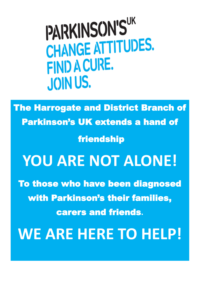PARKINSON'S" CHANGE ATTITUDES. FIND A CURE. **JOIN US.** 

The Harrogate and District Branch of Parkinson's UK extends a hand of **friendship** 

# **YOU ARE NOT ALONE!**

To those who have been diagnosed with Parkinson's their families, carers and friends**.**

**WE ARE HERE TO HELP!**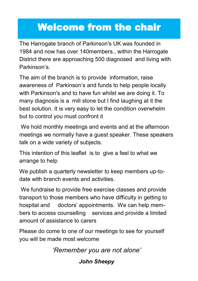# Welcome from the chair

The Harrogate branch of Parkinson's UK was founded in 1984 and now has over 140members., within the Harrogate District there are approaching 500 diagnosed and living with Parkinson's.

The aim of the branch is to provide information, raise awareness of Parkinson's and funds to help people locally with Parkinson's and to have fun whilst we are doing it. To many diagnosis is a mill stone but I find laughing at it the best solution. It is very easy to let the condition overwhelm but to control you must confront it

We hold monthly meetings and events and at the afternoon meetings we normally have a guest speaker. These speakers talk on a wide variety of subjects.

This intention of this leaflet is to give a feel to what we arrange to help

We publish a quarterly newsletter to keep members up-todate with branch events and activities.

We fundraise to provide free exercise classes and provide transport to those members who have difficulty in getting to hospital and doctors' appointments. We can help members to access counselling services and provide a limited amount of assistance to carers

Please do come to one of our meetings to see for yourself you will be made most welcome

*'Remember you are not alone'*

#### *John Sheepy*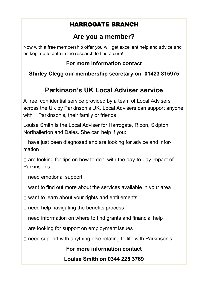#### HARROGATE BRANCH

#### **Are you a member?**

Now with a free membership offer you will get excellent help and advice and be kept up to date in the research to find a cure!

#### **For more information contact**

#### **Shirley Clegg our membership secretary on 01423 815975**

## **Parkinson's UK Local Adviser service**

A free, confidential service provided by a team of Local Advisers across the UK by Parkinson's UK. Local Advisers can support anyone with Parkinson's, their family or friends.

Louise Smith is the Local Adviser for Harrogate, Ripon, Skipton, Northallerton and Dales. She can help if you:

□ have just been diagnosed and are looking for advice and information

 $\Box$  are looking for tips on how to deal with the day-to-day impact of Parkinson's

- □ need emotional support
- $\Box$  want to find out more about the services available in your area
- $\Box$  want to learn about your rights and entitlements
- $\Box$  need help navigating the benefits process
- $\Box$  need information on where to find grants and financial help
- $\Box$  are looking for support on employment issues
- $\Box$  need support with anything else relating to life with Parkinson's

**For more information contact** 

**Louise Smith on 0344 225 3769**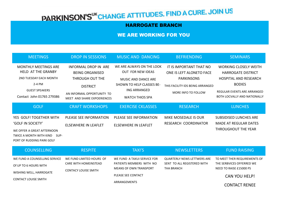# PARKINSON'S<sup>UK</sup>CHANGE ATTITUDES. FIND A CURE. JOIN US

#### HARROGATE BRANCH

## WE ARE WORKING FOR YOU

| <b>MEETINGS</b>                                                                                                                                    | <b>DROP IN SESSIONS</b>                                                                                                                                  | <b>MUSIC AND DANCING</b>                                                                                                                                          | <b>BEFRIENDING</b>                                                                                                                  | <b>SEMINARS</b>                                                                                                                                                                         |
|----------------------------------------------------------------------------------------------------------------------------------------------------|----------------------------------------------------------------------------------------------------------------------------------------------------------|-------------------------------------------------------------------------------------------------------------------------------------------------------------------|-------------------------------------------------------------------------------------------------------------------------------------|-----------------------------------------------------------------------------------------------------------------------------------------------------------------------------------------|
| <b>MONTHLY MEETINGS ARE</b><br><b>HELD AT THE GRANBY</b><br>2ND TUESDAY EACH MONTH<br>2-4 PM<br><b>GUEST SPEAKERS</b><br>Contact John 01765 279386 | <b>INFORMAL DROP IN ARE</b><br><b>BEING ORGANISED</b><br>THROUGH OUT THE<br><b>DISTRICT</b><br>AN INFORMAL OPPORTUNITY TO<br>MEET AND SHARE EXPOERIENCES | WE ARE ALWAYS ON THE LOOK<br><b>OUT FOR NEW IDEAS</b><br><b>MUSIC AND DANCE ARE</b><br>SHOWN TO HELP CLASSES BE-<br><b>ING ARRANGED</b><br><b>WATCH THIOS SPA</b> | IT IS IMPORTANT THAT NO<br>ONE IS LEFT ALONETO FACE<br><b>PARKINSONS</b><br>THIS FACILITY IDS BEING ARRANGED<br>MORE INFO TO FOLLOW | <b>WORKING CLOSELY WEITH</b><br><b>HARROGATE DISTRICT</b><br><b>HOSPITAL AND RESEARCH</b><br><b>BODIES</b><br><b>REGULAR EVENTS ARE ARRANGED</b><br><b>BOTH LOCVALLY AND NATIONALLY</b> |
| <b>GOLF</b>                                                                                                                                        | <b>CRAFT WORKSHOPS</b>                                                                                                                                   | <b>EXERCISE CKLASSES</b>                                                                                                                                          | <b>RESEARCH</b>                                                                                                                     | <b>LUNCHES</b>                                                                                                                                                                          |
| YES GOLF! TOGETHER WITH<br><b>'GOLF IN SOCIETY'</b><br>WE OFFER A GREAT AFTERNOON<br>TWICE A MONTH WITH KIND<br>SUP-<br>PORT OF RUDDING PARK GOLF  | PLEASE SEE INFORMATION<br>ELSEWHERE IN LEAFLET                                                                                                           | PLEASE SEE INFORMATION<br><b>ELSEWHERE IN LEAFLET</b>                                                                                                             | MIKE MOSEDALE IS OUR<br>RESEARCH COORDINATOR                                                                                        | <b>SUBSIDISED LUNCHES ARE</b><br><b>MADE AT REGULAR DATES</b><br>THROUGHOUT THE YEAR                                                                                                    |
| <b>COUNSELLING</b>                                                                                                                                 | <b>RESPITE</b>                                                                                                                                           | <b>TAXI'S</b>                                                                                                                                                     | <b>NEWSLETTERS</b>                                                                                                                  | <b>FUND RAISING</b>                                                                                                                                                                     |
| WE FUND A COUNSELLING SERVICE<br>Of UP TO 6 HOURS WITH<br>WISHING WELL, HARROGATE<br><b>CONTACT LOUISE SMITH</b>                                   | WE FUND LIMITED HOURS OF<br><b>CARE WITH HOMEINSTEAD</b><br><b>CONTACY LOUISE SMITH</b>                                                                  | WE FUND A TAXUI SERVICE FOR<br>PATIENTS MEMBERS WITH NO<br><b>MEANS OF OWN TRANSPORT</b><br>PLEASE SEE CONTACT                                                    | <b>QUARTERLY NEWS LETTWERS ARE</b><br>SENT TO ALL REGISTERED WITH<br><b>THA BRANCH</b>                                              | TO MEET THER REQUIREMENTS OF<br>THE SERBVICES OFFERRED WE<br>NEED TO RAISE £15000 PS<br><b>CAN YOU HELP!</b>                                                                            |
|                                                                                                                                                    |                                                                                                                                                          | ARRANGEMENTS                                                                                                                                                      |                                                                                                                                     | <b>CONTACT RENEE</b>                                                                                                                                                                    |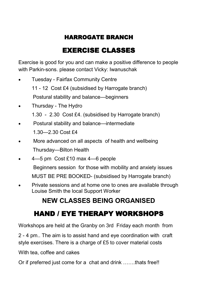#### HARROGATE BRANCH

# EXERCISE CLASSES

Exercise is good for you and can make a positive difference to people with Parkin-sons. please contact Vicky: Iwanuschak

- Tuesday Fairfax Community Centre 11 - 12 Cost £4 (subsidised by Harrogate branch) Postural stability and balance—beginners
- Thursday The Hydro
	- 1.30 2.30 Cost £4. (subsidised by Harrogate branch)
- Postural stability and balance—intermediate 1.30—2.30 Cost £4
- More advanced on all aspects of health and wellbeing Thursday—Bilton Health
- 4—5 pm Cost £10 max 4—6 people
	- Beginners session for those with mobility and anxiety issues MUST BE PRE BOOKED- (subsidised by Harrogate branch)
- Private sessions and at home one to ones are available through Louise Smith the local Support Worker

# **NEW CLASSES BEING ORGANISED**

# HAND / EYE THERAPY WORKSHOPS

Workshops are held at the Granby on 3rd Friday each month from

2 - 4 pm.. The aim is to assist hand and eye coordination with craft style exercises. There is a charge of £5 to cover material costs

With tea, coffee and cakes

Or if preferred just come for a chat and drink …….thats free!!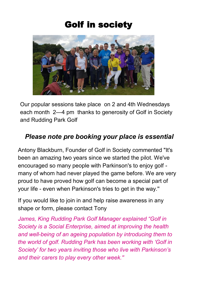# Golf in society



Our popular sessions take place on 2 and 4th Wednesdays each month 2—4 pm thanks to generosity of Golf in Society and Rudding Park Golf

#### *Please note pre booking your place is essential*

Antony Blackburn, Founder of Golf in Society commented "It's been an amazing two years since we started the pilot. We've encouraged so many people with Parkinson's to enjoy golf many of whom had never played the game before. We are very proud to have proved how golf can become a special part of your life - even when Parkinson's tries to get in the way.''

If you would like to join in and help raise awareness in any shape or form, please contact Tony

*James, King Rudding Park Golf Manager explained "Golf in Society is a Social Enterprise, aimed at improving the health and well-being of an ageing population by introducing them to the world of golf. Rudding Park has been working with 'Golf in Society' for two years inviting those who live with Parkinson's and their carers to play every other week.''*